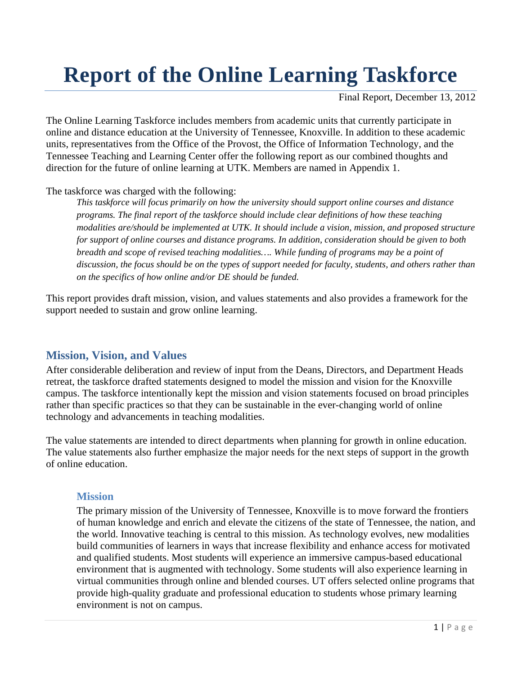# **Report of the Online Learning Taskforce**

Final Report, December 13, 2012

The Online Learning Taskforce includes members from academic units that currently participate in online and distance education at the University of Tennessee, Knoxville. In addition to these academic units, representatives from the Office of the Provost, the Office of Information Technology, and the Tennessee Teaching and Learning Center offer the following report as our combined thoughts and direction for the future of online learning at UTK. Members are named in Appendix 1.

The taskforce was charged with the following:

*This taskforce will focus primarily on how the university should support online courses and distance programs. The final report of the taskforce should include clear definitions of how these teaching modalities are/should be implemented at UTK. It should include a vision, mission, and proposed structure for support of online courses and distance programs. In addition, consideration should be given to both breadth and scope of revised teaching modalities…. While funding of programs may be a point of discussion, the focus should be on the types of support needed for faculty, students, and others rather than on the specifics of how online and/or DE should be funded.* 

This report provides draft mission, vision, and values statements and also provides a framework for the support needed to sustain and grow online learning.

## **Mission, Vision, and Values**

After considerable deliberation and review of input from the Deans, Directors, and Department Heads retreat, the taskforce drafted statements designed to model the mission and vision for the Knoxville campus. The taskforce intentionally kept the mission and vision statements focused on broad principles rather than specific practices so that they can be sustainable in the ever-changing world of online technology and advancements in teaching modalities.

The value statements are intended to direct departments when planning for growth in online education. The value statements also further emphasize the major needs for the next steps of support in the growth of online education.

#### **Mission**

The primary mission of the University of Tennessee, Knoxville is to move forward the frontiers of human knowledge and enrich and elevate the citizens of the state of Tennessee, the nation, and the world. Innovative teaching is central to this mission. As technology evolves, new modalities build communities of learners in ways that increase flexibility and enhance access for motivated and qualified students. Most students will experience an immersive campus-based educational environment that is augmented with technology. Some students will also experience learning in virtual communities through online and blended courses. UT offers selected online programs that provide high-quality graduate and professional education to students whose primary learning environment is not on campus.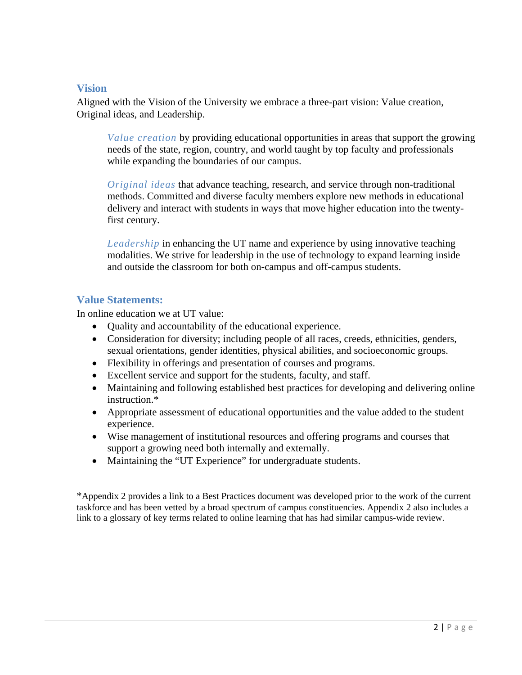#### **Vision**

Aligned with the Vision of the University we embrace a three-part vision: Value creation, Original ideas, and Leadership.

*Value creation* by providing educational opportunities in areas that support the growing needs of the state, region, country, and world taught by top faculty and professionals while expanding the boundaries of our campus.

*Original ideas* that advance teaching, research, and service through non-traditional methods. Committed and diverse faculty members explore new methods in educational delivery and interact with students in ways that move higher education into the twentyfirst century.

*Leadership* in enhancing the UT name and experience by using innovative teaching modalities. We strive for leadership in the use of technology to expand learning inside and outside the classroom for both on-campus and off-campus students.

#### **Value Statements:**

In online education we at UT value:

- Quality and accountability of the educational experience.
- Consideration for diversity; including people of all races, creeds, ethnicities, genders, sexual orientations, gender identities, physical abilities, and socioeconomic groups.
- Flexibility in offerings and presentation of courses and programs.
- Excellent service and support for the students, faculty, and staff.
- Maintaining and following established best practices for developing and delivering online instruction.\*
- Appropriate assessment of educational opportunities and the value added to the student experience.
- Wise management of institutional resources and offering programs and courses that support a growing need both internally and externally.
- Maintaining the "UT Experience" for undergraduate students.

\*Appendix 2 provides a link to a Best Practices document was developed prior to the work of the current taskforce and has been vetted by a broad spectrum of campus constituencies. Appendix 2 also includes a link to a glossary of key terms related to online learning that has had similar campus-wide review.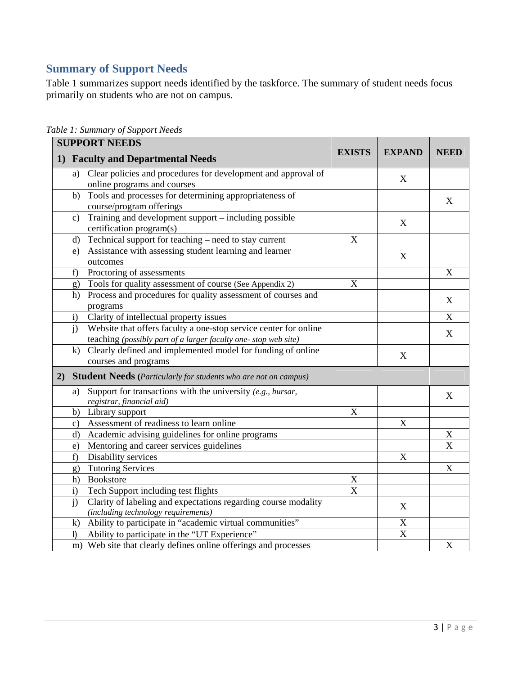# **Summary of Support Needs**

Table 1 summarizes support needs identified by the taskforce. The summary of student needs focus primarily on students who are not on campus.

| <b>SUPPORT NEEDS</b>                                                                                                                      |                           |               |                           |  |
|-------------------------------------------------------------------------------------------------------------------------------------------|---------------------------|---------------|---------------------------|--|
| 1) Faculty and Departmental Needs                                                                                                         | <b>EXISTS</b>             | <b>EXPAND</b> | <b>NEED</b>               |  |
| Clear policies and procedures for development and approval of<br>a)<br>online programs and courses                                        |                           | X             |                           |  |
| Tools and processes for determining appropriateness of<br>b)<br>course/program offerings                                                  |                           |               | X                         |  |
| Training and development support - including possible<br>c)<br>certification program(s)                                                   |                           | X             |                           |  |
| Technical support for teaching – need to stay current<br>d)                                                                               | $\boldsymbol{\mathrm{X}}$ |               |                           |  |
| Assistance with assessing student learning and learner<br>e)<br>outcomes                                                                  |                           | X             |                           |  |
| Proctoring of assessments<br>f                                                                                                            |                           |               | $\boldsymbol{\mathrm{X}}$ |  |
| Tools for quality assessment of course (See Appendix 2)<br>g)                                                                             | X                         |               |                           |  |
| Process and procedures for quality assessment of courses and<br>h)<br>programs                                                            |                           |               | X                         |  |
| Clarity of intellectual property issues<br>$\mathbf{i}$                                                                                   |                           |               | $\mathbf X$               |  |
| i)<br>Website that offers faculty a one-stop service center for online<br>teaching (possibly part of a larger faculty one- stop web site) |                           |               | X                         |  |
| Clearly defined and implemented model for funding of online<br>$\bf k$<br>courses and programs                                            |                           | X             |                           |  |
| 2) Student Needs (Particularly for students who are not on campus)                                                                        |                           |               |                           |  |
| Support for transactions with the university $(e.g., \text{ bursar,}$<br>a)<br>registrar, financial aid)                                  |                           |               | X                         |  |
| Library support<br>b)                                                                                                                     | X                         |               |                           |  |
| Assessment of readiness to learn online<br>C)                                                                                             |                           | X             |                           |  |
| Academic advising guidelines for online programs<br>d)                                                                                    |                           |               | X                         |  |
| Mentoring and career services guidelines<br>e)                                                                                            |                           |               | X                         |  |
| Disability services<br>f)                                                                                                                 |                           | X             |                           |  |
| <b>Tutoring Services</b><br>g)                                                                                                            |                           |               | X                         |  |
| Bookstore<br>h)                                                                                                                           | X                         |               |                           |  |
| Tech Support including test flights<br>i)                                                                                                 | X                         |               |                           |  |
| Clarity of labeling and expectations regarding course modality<br>$\mathbf{j}$<br>(including technology requirements)                     |                           | X             |                           |  |
| Ability to participate in "academic virtual communities"<br>$\bf k$ )                                                                     |                           | $\mathbf X$   |                           |  |
| Ability to participate in the "UT Experience"<br>$\vert$                                                                                  |                           | X             |                           |  |
| m) Web site that clearly defines online offerings and processes                                                                           |                           |               | $\mathbf X$               |  |

*Table 1: Summary of Support Needs*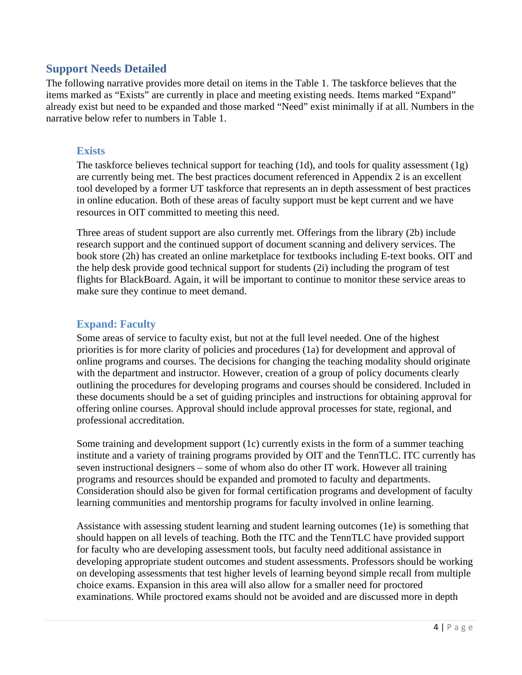# **Support Needs Detailed**

The following narrative provides more detail on items in the Table 1. The taskforce believes that the items marked as "Exists" are currently in place and meeting existing needs. Items marked "Expand" already exist but need to be expanded and those marked "Need" exist minimally if at all. Numbers in the narrative below refer to numbers in Table 1.

#### **Exists**

The taskforce believes technical support for teaching  $(1d)$ , and tools for quality assessment  $(1g)$ are currently being met. The best practices document referenced in Appendix 2 is an excellent tool developed by a former UT taskforce that represents an in depth assessment of best practices in online education. Both of these areas of faculty support must be kept current and we have resources in OIT committed to meeting this need.

Three areas of student support are also currently met. Offerings from the library (2b) include research support and the continued support of document scanning and delivery services. The book store (2h) has created an online marketplace for textbooks including E-text books. OIT and the help desk provide good technical support for students (2i) including the program of test flights for BlackBoard. Again, it will be important to continue to monitor these service areas to make sure they continue to meet demand.

## **Expand: Faculty**

Some areas of service to faculty exist, but not at the full level needed. One of the highest priorities is for more clarity of policies and procedures (1a) for development and approval of online programs and courses. The decisions for changing the teaching modality should originate with the department and instructor. However, creation of a group of policy documents clearly outlining the procedures for developing programs and courses should be considered. Included in these documents should be a set of guiding principles and instructions for obtaining approval for offering online courses. Approval should include approval processes for state, regional, and professional accreditation.

Some training and development support (1c) currently exists in the form of a summer teaching institute and a variety of training programs provided by OIT and the TennTLC. ITC currently has seven instructional designers – some of whom also do other IT work. However all training programs and resources should be expanded and promoted to faculty and departments. Consideration should also be given for formal certification programs and development of faculty learning communities and mentorship programs for faculty involved in online learning.

Assistance with assessing student learning and student learning outcomes (1e) is something that should happen on all levels of teaching. Both the ITC and the TennTLC have provided support for faculty who are developing assessment tools, but faculty need additional assistance in developing appropriate student outcomes and student assessments. Professors should be working on developing assessments that test higher levels of learning beyond simple recall from multiple choice exams. Expansion in this area will also allow for a smaller need for proctored examinations. While proctored exams should not be avoided and are discussed more in depth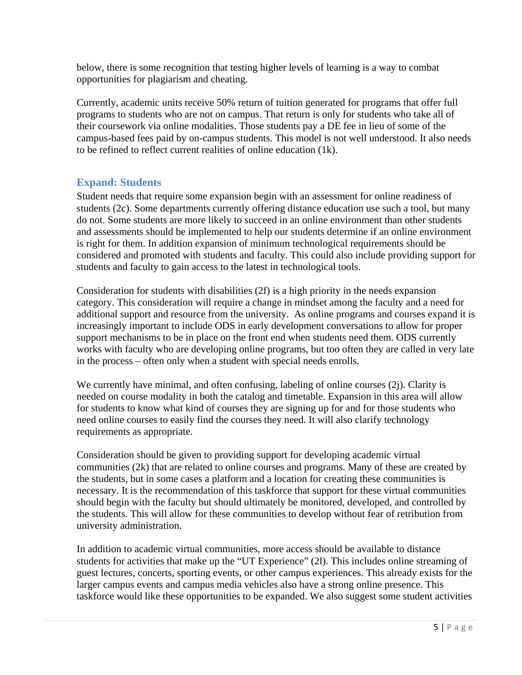below, there is some recognition that testing higher levels of learning is a way to combat opportunities for plagiarism and cheating.

Currently, academic units receive 50% return of tuition generated for programs that offer full programs to students who are not on campus. That return is only for students who take all of their coursework via online modalities. Those students pay a DE fee in lieu of some of the campus-based fees paid by on-campus students. This model is not well understood. It also needs to be refined to reflect current realities of online education (1k).

#### **Expand: Students**

Student needs that require some expansion begin with an assessment for online readiness of students (2c). Some departments currently offering distance education use such a tool, but many do not. Some students are more likely to succeed in an online environment than other students and assessments should be implemented to help our students determine if an online environment is right for them. In addition expansion of minimum technological requirements should be considered and promoted with students and faculty. This could also include providing support for students and faculty to gain access to the latest in technological tools.

Consideration for students with disabilities (2f) is a high priority in the needs expansion category. This consideration will require a change in mindset among the faculty and a need for additional support and resource from the university. As online programs and courses expand it is increasingly important to include ODS in early development conversations to allow for proper support mechanisms to be in place on the front end when students need them. ODS currently works with faculty who are developing online programs, but too often they are called in very late in the process – often only when a student with special needs enrolls.

We currently have minimal, and often confusing, labeling of online courses (2j). Clarity is needed on course modality in both the catalog and timetable. Expansion in this area will allow for students to know what kind of courses they are signing up for and for those students who need online courses to easily find the courses they need. It will also clarify technology requirements as appropriate.

Consideration should be given to providing support for developing academic virtual communities (2k) that are related to online courses and programs. Many of these are created by the students, but in some cases a platform and a location for creating these communities is necessary. It is the recommendation of this taskforce that support for these virtual communities should begin with the faculty but should ultimately be monitored, developed, and controlled by the students. This will allow for these communities to develop without fear of retribution from university administration.

In addition to academic virtual communities, more access should be available to distance students for activities that make up the "UT Experience" (2l). This includes online streaming of guest lectures, concerts, sporting events, or other campus experiences. This already exists for the larger campus events and campus media vehicles also have a strong online presence. This taskforce would like these opportunities to be expanded. We also suggest some student activities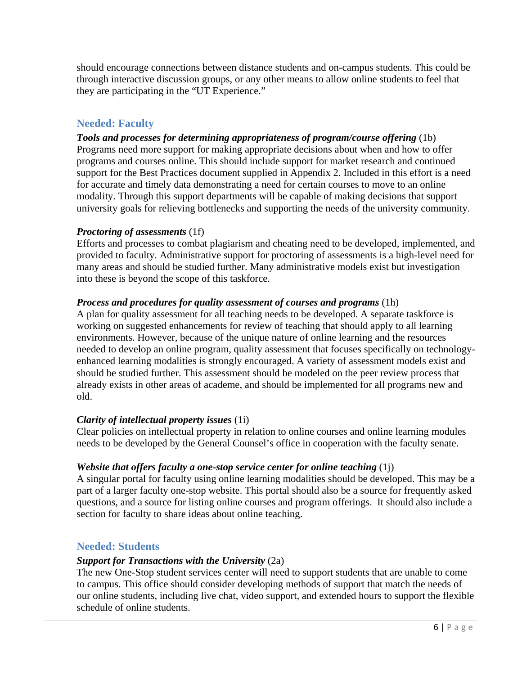should encourage connections between distance students and on-campus students. This could be through interactive discussion groups, or any other means to allow online students to feel that they are participating in the "UT Experience."

# **Needed: Faculty**

*Tools and processes for determining appropriateness of program/course offering* (1b) Programs need more support for making appropriate decisions about when and how to offer programs and courses online. This should include support for market research and continued support for the Best Practices document supplied in Appendix 2. Included in this effort is a need for accurate and timely data demonstrating a need for certain courses to move to an online modality. Through this support departments will be capable of making decisions that support university goals for relieving bottlenecks and supporting the needs of the university community.

#### *Proctoring of assessments* (1f)

Efforts and processes to combat plagiarism and cheating need to be developed, implemented, and provided to faculty. Administrative support for proctoring of assessments is a high-level need for many areas and should be studied further. Many administrative models exist but investigation into these is beyond the scope of this taskforce.

#### *Process and procedures for quality assessment of courses and programs* (1h)

A plan for quality assessment for all teaching needs to be developed. A separate taskforce is working on suggested enhancements for review of teaching that should apply to all learning environments. However, because of the unique nature of online learning and the resources needed to develop an online program, quality assessment that focuses specifically on technologyenhanced learning modalities is strongly encouraged. A variety of assessment models exist and should be studied further. This assessment should be modeled on the peer review process that already exists in other areas of academe, and should be implemented for all programs new and old.

#### *Clarity of intellectual property issues* (1i)

Clear policies on intellectual property in relation to online courses and online learning modules needs to be developed by the General Counsel's office in cooperation with the faculty senate.

#### *Website that offers faculty a one-stop service center for online teaching* (1j)

A singular portal for faculty using online learning modalities should be developed. This may be a part of a larger faculty one-stop website. This portal should also be a source for frequently asked questions, and a source for listing online courses and program offerings. It should also include a section for faculty to share ideas about online teaching.

#### **Needed: Students**

#### *Support for Transactions with the University* (2a)

The new One-Stop student services center will need to support students that are unable to come to campus. This office should consider developing methods of support that match the needs of our online students, including live chat, video support, and extended hours to support the flexible schedule of online students.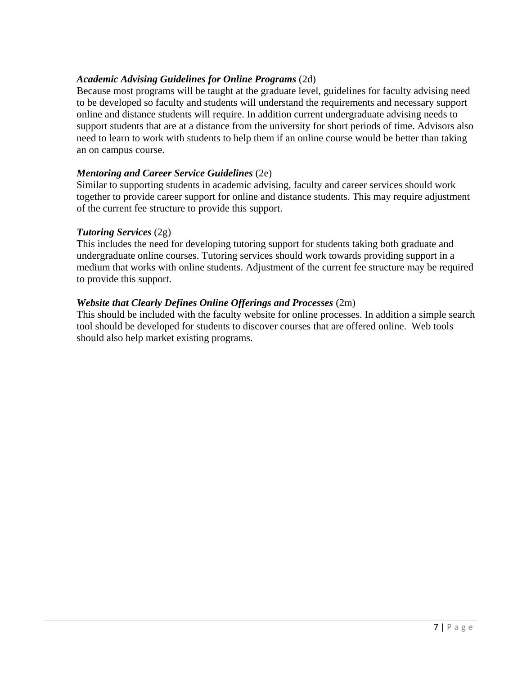#### *Academic Advising Guidelines for Online Programs* (2d)

Because most programs will be taught at the graduate level, guidelines for faculty advising need to be developed so faculty and students will understand the requirements and necessary support online and distance students will require. In addition current undergraduate advising needs to support students that are at a distance from the university for short periods of time. Advisors also need to learn to work with students to help them if an online course would be better than taking an on campus course.

#### *Mentoring and Career Service Guidelines* (2e)

Similar to supporting students in academic advising, faculty and career services should work together to provide career support for online and distance students. This may require adjustment of the current fee structure to provide this support.

#### *Tutoring Services* (2g)

This includes the need for developing tutoring support for students taking both graduate and undergraduate online courses. Tutoring services should work towards providing support in a medium that works with online students. Adjustment of the current fee structure may be required to provide this support.

#### *Website that Clearly Defines Online Offerings and Processes* (2m)

This should be included with the faculty website for online processes. In addition a simple search tool should be developed for students to discover courses that are offered online. Web tools should also help market existing programs.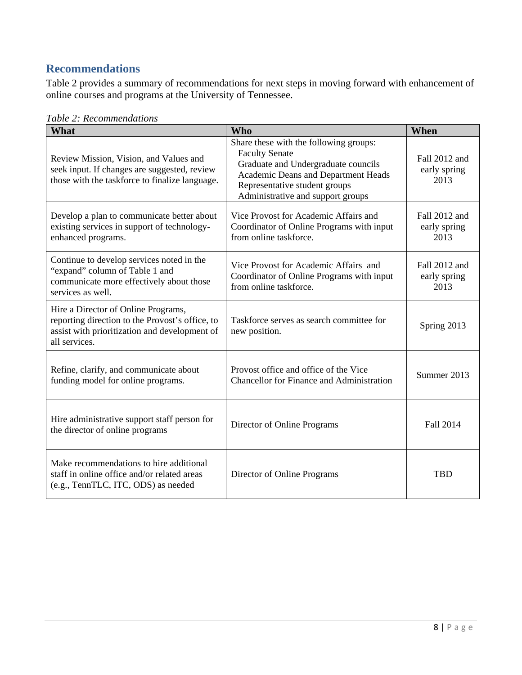# **Recommendations**

Table 2 provides a summary of recommendations for next steps in moving forward with enhancement of online courses and programs at the University of Tennessee.

| What                                                                                                                                                     | <b>Who</b>                                                                                                                                                                                                          | When                                  |
|----------------------------------------------------------------------------------------------------------------------------------------------------------|---------------------------------------------------------------------------------------------------------------------------------------------------------------------------------------------------------------------|---------------------------------------|
| Review Mission, Vision, and Values and<br>seek input. If changes are suggested, review<br>those with the taskforce to finalize language.                 | Share these with the following groups:<br><b>Faculty Senate</b><br>Graduate and Undergraduate councils<br>Academic Deans and Department Heads<br>Representative student groups<br>Administrative and support groups | Fall 2012 and<br>early spring<br>2013 |
| Develop a plan to communicate better about<br>existing services in support of technology-<br>enhanced programs.                                          | Vice Provost for Academic Affairs and<br>Coordinator of Online Programs with input<br>from online taskforce.                                                                                                        | Fall 2012 and<br>early spring<br>2013 |
| Continue to develop services noted in the<br>"expand" column of Table 1 and<br>communicate more effectively about those<br>services as well.             | Vice Provost for Academic Affairs and<br>Coordinator of Online Programs with input<br>from online taskforce.                                                                                                        | Fall 2012 and<br>early spring<br>2013 |
| Hire a Director of Online Programs,<br>reporting direction to the Provost's office, to<br>assist with prioritization and development of<br>all services. | Taskforce serves as search committee for<br>new position.                                                                                                                                                           | Spring 2013                           |
| Refine, clarify, and communicate about<br>funding model for online programs.                                                                             | Provost office and office of the Vice<br><b>Chancellor</b> for Finance and Administration                                                                                                                           | Summer 2013                           |
| Hire administrative support staff person for<br>the director of online programs                                                                          | Director of Online Programs                                                                                                                                                                                         | Fall 2014                             |
| Make recommendations to hire additional<br>staff in online office and/or related areas<br>(e.g., TennTLC, ITC, ODS) as needed                            | Director of Online Programs                                                                                                                                                                                         | TBD                                   |

*Table 2: Recommendations*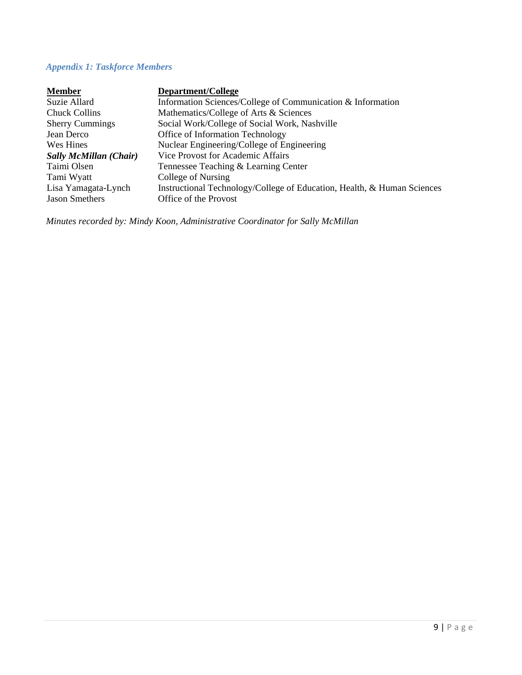# *Appendix 1: Taskforce Members*

| <b>Member</b>                 | Department/College                                                      |
|-------------------------------|-------------------------------------------------------------------------|
| Suzie Allard                  | Information Sciences/College of Communication & Information             |
| <b>Chuck Collins</b>          | Mathematics/College of Arts & Sciences                                  |
| <b>Sherry Cummings</b>        | Social Work/College of Social Work, Nashville                           |
| Jean Derco                    | Office of Information Technology                                        |
| Wes Hines                     | Nuclear Engineering/College of Engineering                              |
| <b>Sally McMillan (Chair)</b> | <b>Vice Provost for Academic Affairs</b>                                |
| Taimi Olsen                   | Tennessee Teaching & Learning Center                                    |
| Tami Wyatt                    | College of Nursing                                                      |
| Lisa Yamagata-Lynch           | Instructional Technology/College of Education, Health, & Human Sciences |
| <b>Jason Smethers</b>         | Office of the Provost                                                   |

*Minutes recorded by: Mindy Koon, Administrative Coordinator for Sally McMillan*